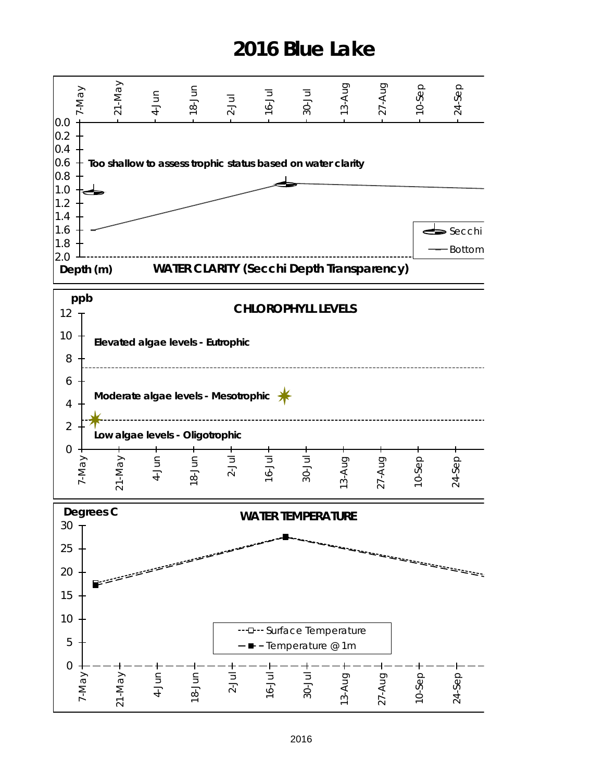## **2016 Blue Lake**

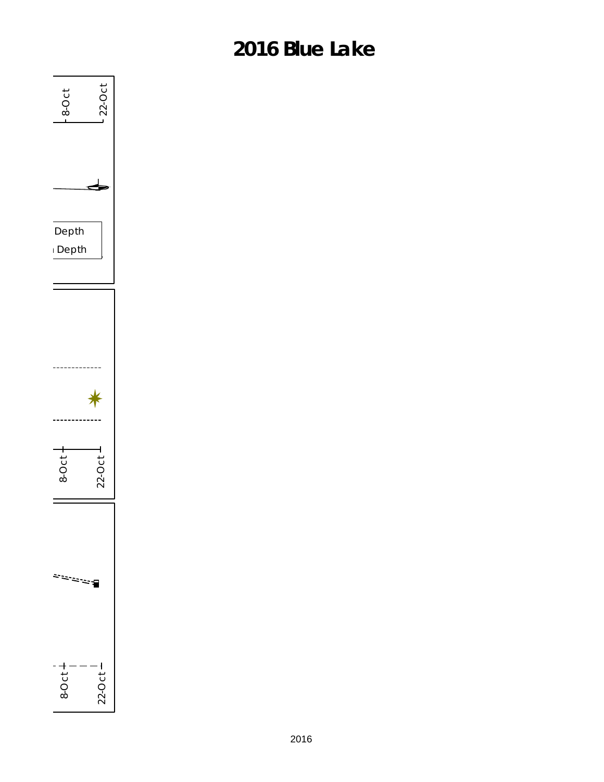## **2016 Blue Lake**